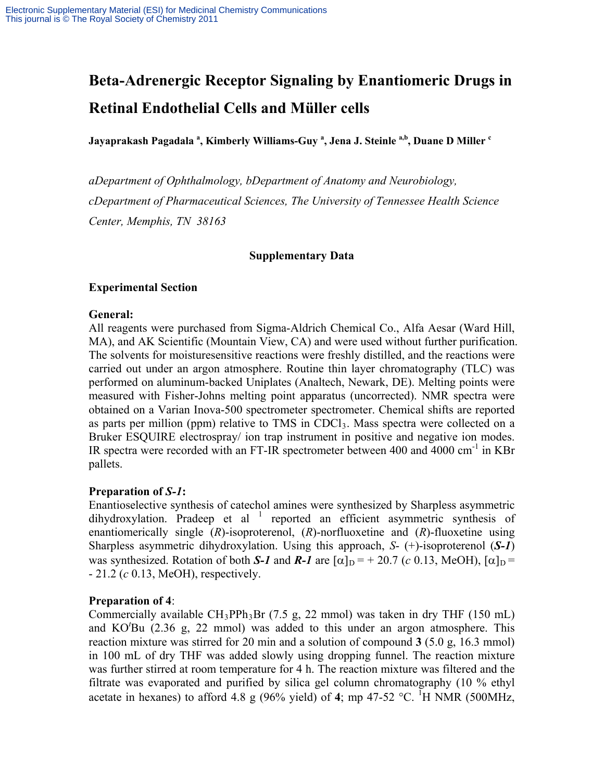# **Beta-Adrenergic Receptor Signaling by Enantiomeric Drugs in Retinal Endothelial Cells and Müller cells**

Jayaprakash Pagadala <sup>a</sup>, Kimberly Williams-Guy <sup>a</sup>, Jena J. Steinle <sup>a,b</sup>, Duane D Miller <sup>c</sup>

*aDepartment of Ophthalmology, bDepartment of Anatomy and Neurobiology, cDepartment of Pharmaceutical Sciences, The University of Tennessee Health Science Center, Memphis, TN 38163*

## **Supplementary Data**

## **Experimental Section**

#### **General:**

All reagents were purchased from Sigma-Aldrich Chemical Co., Alfa Aesar (Ward Hill, MA), and AK Scientific (Mountain View, CA) and were used without further purification. The solvents for moisturesensitive reactions were freshly distilled, and the reactions were carried out under an argon atmosphere. Routine thin layer chromatography (TLC) was performed on aluminum-backed Uniplates (Analtech, Newark, DE). Melting points were measured with Fisher-Johns melting point apparatus (uncorrected). NMR spectra were obtained on a Varian Inova-500 spectrometer spectrometer. Chemical shifts are reported as parts per million (ppm) relative to TMS in CDCl<sub>3</sub>. Mass spectra were collected on a Bruker ESQUIRE electrospray/ ion trap instrument in positive and negative ion modes. IR spectra were recorded with an FT-IR spectrometer between 400 and 4000 cm<sup>-1</sup> in KBr pallets.

### **Preparation of** *S-1***:**

Enantioselective synthesis of catechol amines were synthesized by Sharpless asymmetric dihydroxylation. Pradeep et al  $1$  reported an efficient asymmetric synthesis of enantiomerically single (*R*)-isoproterenol, (*R*)-norfluoxetine and (*R*)-fluoxetine using Sharpless asymmetric dihydroxylation. Using this approach, *S*- (+)-isoproterenol (*S-1*) was synthesized. Rotation of both *S-1* and *R-1* are  $\lceil \alpha \rceil_D = +20.7$  (*c* 0.13, MeOH),  $\lceil \alpha \rceil_D =$ - 21.2 (*c* 0.13, MeOH), respectively.

### **Preparation of 4**:

Commercially available  $CH_3PPh_3Br$  (7.5 g, 22 mmol) was taken in dry THF (150 mL) and KO*<sup>t</sup>* Bu (2.36 g, 22 mmol) was added to this under an argon atmosphere. This reaction mixture was stirred for 20 min and a solution of compound **3** (5.0 g, 16.3 mmol) in 100 mL of dry THF was added slowly using dropping funnel. The reaction mixture was further stirred at room temperature for 4 h. The reaction mixture was filtered and the filtrate was evaporated and purified by silica gel column chromatography (10 % ethyl acetate in hexanes) to afford 4.8 g (96% yield) of 4; mp 47-52  $^{\circ}$ C. <sup>1</sup>H NMR (500MHz,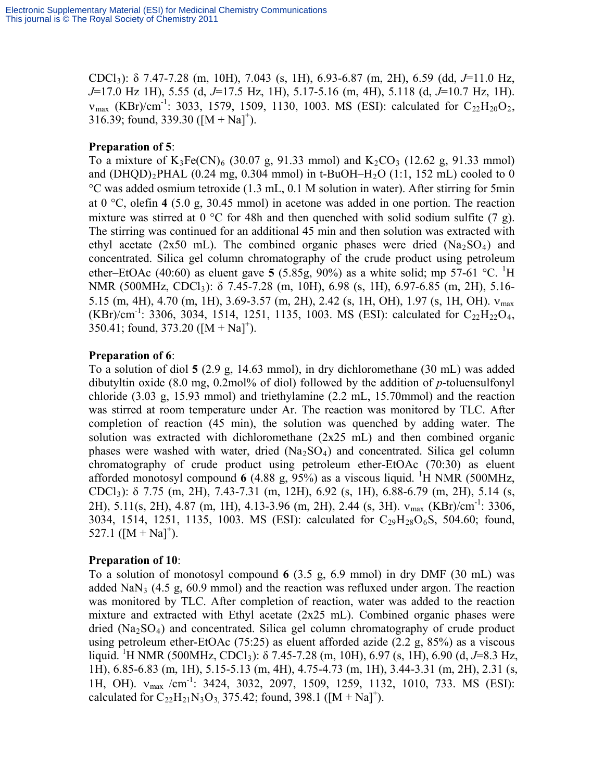CDCl3): δ 7.47-7.28 (m, 10H), 7.043 (s, 1H), 6.93-6.87 (m, 2H), 6.59 (dd, *J*=11.0 Hz, *J*=17.0 Hz 1H), 5.55 (d, *J*=17.5 Hz, 1H), 5.17-5.16 (m, 4H), 5.118 (d, *J*=10.7 Hz, 1H).  $v_{\text{max}}$  (KBr)/cm<sup>-1</sup>: 3033, 1579, 1509, 1130, 1003. MS (ESI): calculated for C<sub>22</sub>H<sub>20</sub>O<sub>2</sub>, 316.39; found, 339.30  $([M + Na]^+)$ .

## **Preparation of 5**:

To a mixture of  $K_3Fe(CN)_6$  (30.07 g, 91.33 mmol) and  $K_2CO_3$  (12.62 g, 91.33 mmol) and  $(DHQD)_2$ PHAL  $(0.24 \text{ mg}, 0.304 \text{ mmol})$  in t-BuOH–H<sub>2</sub>O  $(1:1, 152 \text{ mL})$  cooled to 0 °C was added osmium tetroxide (1.3 mL, 0.1 M solution in water). After stirring for 5min at 0 °C, olefin **4** (5.0 g, 30.45 mmol) in acetone was added in one portion. The reaction mixture was stirred at 0  $\degree$ C for 48h and then quenched with solid sodium sulfite (7 g). The stirring was continued for an additional 45 min and then solution was extracted with ethyl acetate (2x50 mL). The combined organic phases were dried  $(Na<sub>2</sub>SO<sub>4</sub>)$  and concentrated. Silica gel column chromatography of the crude product using petroleum ether–EtOAc (40:60) as eluent gave **5** (5.85g, 90%) as a white solid; mp 57-61  $^{\circ}$ C. <sup>1</sup>H NMR (500MHz, CDCl<sub>3</sub>): δ 7.45-7.28 (m, 10H), 6.98 (s, 1H), 6.97-6.85 (m, 2H), 5.16-5.15 (m, 4H), 4.70 (m, 1H), 3.69-3.57 (m, 2H), 2.42 (s, 1H, OH), 1.97 (s, 1H, OH).  $v_{\text{max}}$  $(KBr)/cm^{-1}$ : 3306, 3034, 1514, 1251, 1135, 1003. MS (ESI): calculated for C<sub>22</sub>H<sub>22</sub>O<sub>4</sub>,  $350.41$ ; found,  $373.20$  ([M + Na]<sup>+</sup>).

## **Preparation of 6**:

To a solution of diol **5** (2.9 g, 14.63 mmol), in dry dichloromethane (30 mL) was added dibutyltin oxide (8.0 mg, 0.2mol% of diol) followed by the addition of *p*-toluensulfonyl chloride (3.03 g, 15.93 mmol) and triethylamine (2.2 mL, 15.70mmol) and the reaction was stirred at room temperature under Ar. The reaction was monitored by TLC. After completion of reaction (45 min), the solution was quenched by adding water. The solution was extracted with dichloromethane (2x25 mL) and then combined organic phases were washed with water, dried  $(Na<sub>2</sub>SO<sub>4</sub>)$  and concentrated. Silica gel column chromatography of crude product using petroleum ether-EtOAc (70:30) as eluent afforded monotosyl compound  $6$  (4.88 g, 95%) as a viscous liquid. <sup>1</sup>H NMR (500MHz, CDCl3): δ 7.75 (m, 2H), 7.43-7.31 (m, 12H), 6.92 (s, 1H), 6.88-6.79 (m, 2H), 5.14 (s, 2H), 5.11(s, 2H), 4.87 (m, 1H), 4.13-3.96 (m, 2H), 2.44 (s, 3H). ν<sub>max</sub> (KBr)/cm<sup>-1</sup>: 3306, 3034, 1514, 1251, 1135, 1003. MS (ESI): calculated for  $C_{29}H_{28}O_6S$ , 504.60; found, 527.1  $([M + Na]^{+})$ .

### **Preparation of 10**:

To a solution of monotosyl compound **6** (3.5 g, 6.9 mmol) in dry DMF (30 mL) was added  $\text{NaN}_3$  (4.5 g, 60.9 mmol) and the reaction was refluxed under argon. The reaction was monitored by TLC. After completion of reaction, water was added to the reaction mixture and extracted with Ethyl acetate  $(2x25 \text{ mL})$ . Combined organic phases were dried  $(Na<sub>2</sub>SO<sub>4</sub>)$  and concentrated. Silica gel column chromatography of crude product using petroleum ether-EtOAc  $(75:25)$  as eluent afforded azide  $(2.2 \text{ g}, 85%)$  as a viscous liquid. 1 H NMR (500MHz, CDCl3): δ 7.45-7.28 (m, 10H), 6.97 (s, 1H), 6.90 (d, *J*=8.3 Hz, 1H), 6.85-6.83 (m, 1H), 5.15-5.13 (m, 4H), 4.75-4.73 (m, 1H), 3.44-3.31 (m, 2H), 2.31 (s, 1H, OH). v<sub>max</sub> /cm<sup>-1</sup>: 3424, 3032, 2097, 1509, 1259, 1132, 1010, 733. MS (ESI): calculated for  $C_{22}H_{21}N_3O_3$ , 375.42; found, 398.1 ([M + Na]<sup>+</sup>).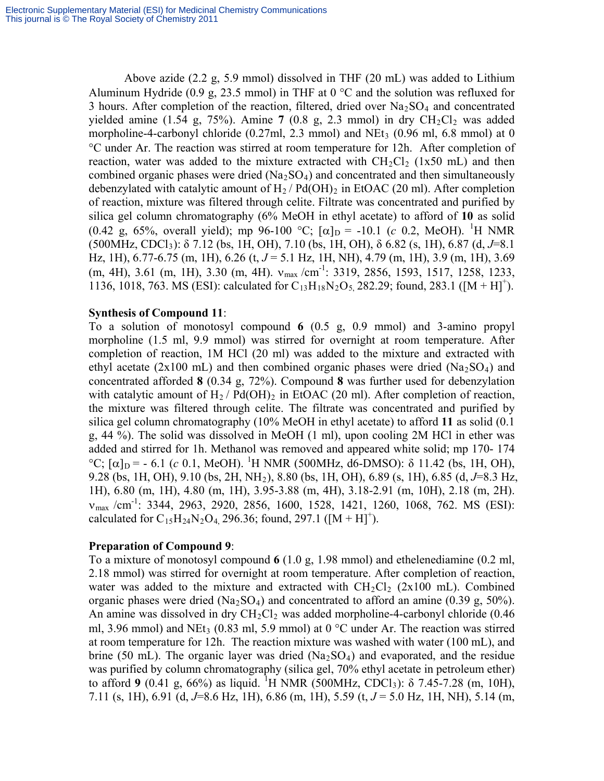Above azide (2.2 g, 5.9 mmol) dissolved in THF (20 mL) was added to Lithium Aluminum Hydride (0.9 g, 23.5 mmol) in THF at  $0^{\circ}$ C and the solution was refluxed for 3 hours. After completion of the reaction, filtered, dried over  $Na<sub>2</sub>SO<sub>4</sub>$  and concentrated yielded amine (1.54 g, 75%). Amine 7 (0.8 g, 2.3 mmol) in dry  $CH_2Cl_2$  was added morpholine-4-carbonyl chloride  $(0.27 \text{ml}, 2.3 \text{ mmol})$  and NEt<sub>3</sub>  $(0.96 \text{ ml}, 6.8 \text{ mmol})$  at 0 °C under Ar. The reaction was stirred at room temperature for 12h. After completion of reaction, water was added to the mixture extracted with  $CH_2Cl_2$  (1x50 mL) and then combined organic phases were dried  $(Na_2SO_4)$  and concentrated and then simultaneously debenzylated with catalytic amount of  $H_2$  / Pd(OH)<sub>2</sub> in EtOAC (20 ml). After completion of reaction, mixture was filtered through celite. Filtrate was concentrated and purified by silica gel column chromatography (6% MeOH in ethyl acetate) to afford of **10** as solid (0.42 g, 65%, overall yield); mp 96-100 °C;  $[\alpha]_D = -10.1$  (*c* 0.2, MeOH). <sup>1</sup>H NMR (500MHz, CDCl3): δ 7.12 (bs, 1H, OH), 7.10 (bs, 1H, OH), δ 6.82 (s, 1H), 6.87 (d, *J*=8.1 Hz, 1H), 6.77-6.75 (m, 1H), 6.26 (t, J = 5.1 Hz, 1H, NH), 4.79 (m, 1H), 3.9 (m, 1H), 3.69 (m, 4H), 3.61 (m, 1H), 3.30 (m, 4H). ν<sub>max</sub> /cm<sup>-1</sup>: 3319, 2856, 1593, 1517, 1258, 1233, 1136, 1018, 763. MS (ESI): calculated for  $C_{13}H_{18}N_2O_5$ , 282.29; found, 283.1 ([M + H]<sup>+</sup>).

#### **Synthesis of Compound 11**:

To a solution of monotosyl compound **6** (0.5 g, 0.9 mmol) and 3-amino propyl morpholine (1.5 ml, 9.9 mmol) was stirred for overnight at room temperature. After completion of reaction, 1M HCl (20 ml) was added to the mixture and extracted with ethyl acetate (2x100 mL) and then combined organic phases were dried ( $Na<sub>2</sub>SO<sub>4</sub>$ ) and concentrated afforded **8** (0.34 g, 72%). Compound **8** was further used for debenzylation with catalytic amount of  $H_2$  / Pd(OH)<sub>2</sub> in EtOAC (20 ml). After completion of reaction, the mixture was filtered through celite. The filtrate was concentrated and purified by silica gel column chromatography (10% MeOH in ethyl acetate) to afford **11** as solid (0.1 g, 44 %). The solid was dissolved in MeOH (1 ml), upon cooling 2M HCl in ether was added and stirred for 1h. Methanol was removed and appeared white solid; mp 170- 174 °C; [α]<sub>D</sub> = - 6.1 (*c* 0.1, MeOH). <sup>1</sup>H NMR (500MHz, d6-DMSO): δ 11.42 (bs, 1H, OH), 9.28 (bs, 1H, OH), 9.10 (bs, 2H, NH2), 8.80 (bs, 1H, OH), 6.89 (s, 1H), 6.85 (d, *J*=8.3 Hz, 1H), 6.80 (m, 1H), 4.80 (m, 1H), 3.95-3.88 (m, 4H), 3.18-2.91 (m, 10H), 2.18 (m, 2H).  $v_{\text{max}}$  /cm<sup>-1</sup>: 3344, 2963, 2920, 2856, 1600, 1528, 1421, 1260, 1068, 762. MS (ESI): calculated for  $C_{15}H_{24}N_2O_4$ , 296.36; found, 297.1 ([M + H]<sup>+</sup>).

### **Preparation of Compound 9**:

To a mixture of monotosyl compound **6** (1.0 g, 1.98 mmol) and ethelenediamine (0.2 ml, 2.18 mmol) was stirred for overnight at room temperature. After completion of reaction, water was added to the mixture and extracted with  $CH_2Cl_2$  (2x100 mL). Combined organic phases were dried  $(Na_2SO_4)$  and concentrated to afford an amine (0.39 g, 50%). An amine was dissolved in dry  $CH_2Cl_2$  was added morpholine-4-carbonyl chloride (0.46) ml, 3.96 mmol) and NEt<sub>3</sub> (0.83 ml, 5.9 mmol) at 0  $^{\circ}$ C under Ar. The reaction was stirred at room temperature for 12h. The reaction mixture was washed with water (100 mL), and brine (50 mL). The organic layer was dried  $(Na_2SO_4)$  and evaporated, and the residue was purified by column chromatography (silica gel, 70% ethyl acetate in petroleum ether) to afford 9 (0.41 g, 66%) as liquid. <sup>1</sup>H NMR (500MHz, CDCl<sub>3</sub>):  $\delta$  7.45-7.28 (m, 10H), 7.11 (s, 1H), 6.91 (d, *J*=8.6 Hz, 1H), 6.86 (m, 1H), 5.59 (t, *J* = 5.0 Hz, 1H, NH), 5.14 (m,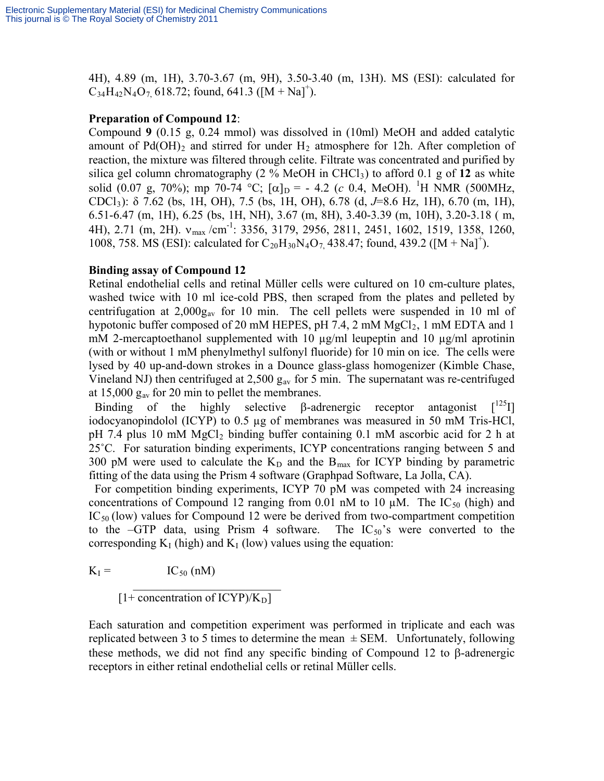4H), 4.89 (m, 1H), 3.70-3.67 (m, 9H), 3.50-3.40 (m, 13H). MS (ESI): calculated for  $C_{34}H_{42}N_{4}O_{7}$ , 618.72; found, 641.3 ([M + Na]<sup>+</sup>).

## **Preparation of Compound 12**:

Compound **9** (0.15 g, 0.24 mmol) was dissolved in (10ml) MeOH and added catalytic amount of  $Pd(OH)_2$  and stirred for under  $H_2$  atmosphere for 12h. After completion of reaction, the mixture was filtered through celite. Filtrate was concentrated and purified by silica gel column chromatography  $(2\% \text{ MeOH} \text{ in CHCl}_3)$  to afford 0.1 g of 12 as white solid (0.07 g, 70%); mp 70-74 °C;  $[\alpha]_D = -4.2$  (*c* 0.4, MeOH). <sup>1</sup>H NMR (500MHz, CDCl3): δ 7.62 (bs, 1H, OH), 7.5 (bs, 1H, OH), 6.78 (d, *J*=8.6 Hz, 1H), 6.70 (m, 1H), 6.51-6.47 (m, 1H), 6.25 (bs, 1H, NH), 3.67 (m, 8H), 3.40-3.39 (m, 10H), 3.20-3.18 ( m, 4H), 2.71 (m, 2H). ν<sub>max</sub> /cm<sup>-1</sup>: 3356, 3179, 2956, 2811, 2451, 1602, 1519, 1358, 1260, 1008, 758. MS (ESI): calculated for  $C_{20}H_{30}N_4O_7$ , 438.47; found, 439.2 ([M + Na]<sup>+</sup>).

## **Binding assay of Compound 12**

Retinal endothelial cells and retinal Müller cells were cultured on 10 cm-culture plates, washed twice with 10 ml ice-cold PBS, then scraped from the plates and pelleted by centrifugation at  $2,000g_{av}$  for 10 min. The cell pellets were suspended in 10 ml of hypotonic buffer composed of 20 mM HEPES, pH 7.4, 2 mM  $MgCl<sub>2</sub>$ , 1 mM EDTA and 1 mM 2-mercaptoethanol supplemented with 10  $\mu$ g/ml leupeptin and 10  $\mu$ g/ml aprotinin (with or without 1 mM phenylmethyl sulfonyl fluoride) for 10 min on ice. The cells were lysed by 40 up-and-down strokes in a Dounce glass-glass homogenizer (Kimble Chase, Vineland NJ) then centrifuged at  $2,500$   $g_{av}$  for 5 min. The supernatant was re-centrifuged at  $15,000$   $g_{av}$  for 20 min to pellet the membranes.

Binding of the highly selective  $\beta$ -adrenergic receptor antagonist  $\int^{125}$ I] iodocyanopindolol (ICYP) to 0.5 µg of membranes was measured in 50 mM Tris-HCl, pH 7.4 plus 10 mM  $MgCl<sub>2</sub>$  binding buffer containing 0.1 mM ascorbic acid for 2 h at 25˚C. For saturation binding experiments, ICYP concentrations ranging between 5 and 300 pM were used to calculate the  $K_D$  and the  $B_{max}$  for ICYP binding by parametric fitting of the data using the Prism 4 software (Graphpad Software, La Jolla, CA).

 For competition binding experiments, ICYP 70 pM was competed with 24 increasing concentrations of Compound 12 ranging from 0.01 nM to 10  $\mu$ M. The IC<sub>50</sub> (high) and  $IC_{50}$  (low) values for Compound 12 were be derived from two-compartment competition to the –GTP data, using Prism 4 software. The  $IC_{50}$ 's were converted to the corresponding  $K_I$  (high) and  $K_I$  (low) values using the equation:

$$
K_{I} = IC_{50} (nM)
$$

 $\mathcal{L}_\text{max} = \frac{1}{2} \sum_{i=1}^{n} \frac{1}{2} \sum_{i=1}^{n} \frac{1}{2} \sum_{i=1}^{n} \frac{1}{2} \sum_{i=1}^{n} \frac{1}{2} \sum_{i=1}^{n} \frac{1}{2} \sum_{i=1}^{n} \frac{1}{2} \sum_{i=1}^{n} \frac{1}{2} \sum_{i=1}^{n} \frac{1}{2} \sum_{i=1}^{n} \frac{1}{2} \sum_{i=1}^{n} \frac{1}{2} \sum_{i=1}^{n} \frac{1}{2} \sum_{i=1}^{n} \frac{1$ [1+ concentration of ICYP)/ $K_D$ ]

Each saturation and competition experiment was performed in triplicate and each was replicated between 3 to 5 times to determine the mean  $\pm$  SEM. Unfortunately, following these methods, we did not find any specific binding of Compound 12 to β-adrenergic receptors in either retinal endothelial cells or retinal Müller cells.